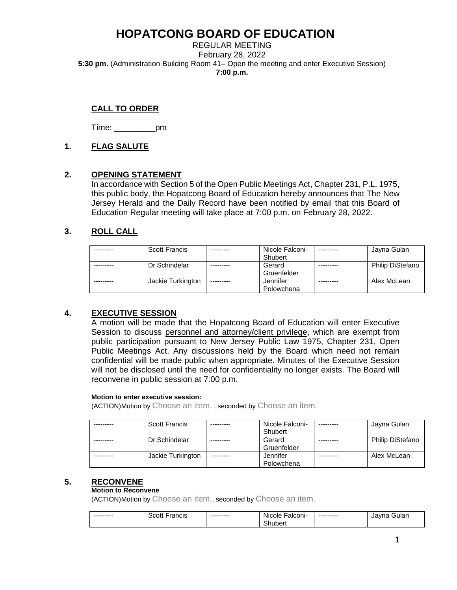REGULAR MEETING February 28, 2022 **5:30 pm.** (Administration Building Room 41– Open the meeting and enter Executive Session) **7:00 p.m.**

# **CALL TO ORDER**

Time: \_\_\_\_\_\_\_\_\_pm

## **1. FLAG SALUTE**

## **2. OPENING STATEMENT**

In accordance with Section 5 of the Open Public Meetings Act, Chapter 231, P.L. 1975, this public body, the Hopatcong Board of Education hereby announces that The New Jersey Herald and the Daily Record have been notified by email that this Board of Education Regular meeting will take place at 7:00 p.m. on February 28, 2022.

## **3. ROLL CALL**

| <b>Scott Francis</b> | Nicole Falconi- |           | Jayna Gulan             |
|----------------------|-----------------|-----------|-------------------------|
|                      | Shubert         |           |                         |
| Dr.Schindelar        | Gerard          | --------- | <b>Philip DiStefano</b> |
|                      | Gruenfelder     |           |                         |
| Jackie Turkington    | Jennifer        |           | Alex McLean             |
|                      | Polowchena      |           |                         |

## **4. EXECUTIVE SESSION**

A motion will be made that the Hopatcong Board of Education will enter Executive Session to discuss personnel and attorney/client privilege, which are exempt from public participation pursuant to New Jersey Public Law 1975, Chapter 231, Open Public Meetings Act. Any discussions held by the Board which need not remain confidential will be made public when appropriate. Minutes of the Executive Session will not be disclosed until the need for confidentiality no longer exists. The Board will reconvene in public session at 7:00 p.m.

#### **Motion to enter executive session:**

(ACTION)Motion by Choose an item. , seconded by Choose an item.

| <b>Scott Francis</b> |            | Nicole Falconi- | Jayna Gulan      |
|----------------------|------------|-----------------|------------------|
|                      |            | Shubert         |                  |
| Dr.Schindelar        |            | Gerard          | Philip DiStefano |
|                      |            | Gruenfelder     |                  |
| Jackie Turkington    | ---------- | Jennifer        | Alex McLean      |
|                      |            | Polowchena      |                  |

## **5. RECONVENE**

#### **Motion to Reconvene**

| --------- | Francis<br>Scott | --------- | ·alconi·<br><b>Nicole</b> | --------- | Gular<br>Javna |
|-----------|------------------|-----------|---------------------------|-----------|----------------|
|           |                  |           | -<br>ıubert               |           |                |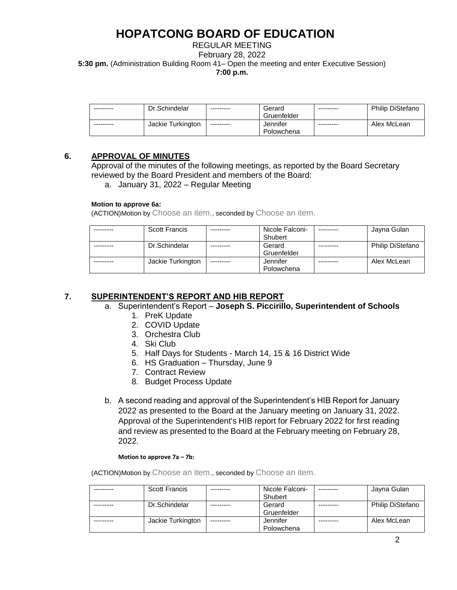REGULAR MEETING February 28, 2022 **5:30 pm.** (Administration Building Room 41– Open the meeting and enter Executive Session) **7:00 p.m.**

| --------- | Dr.Schindelar     | ---------  | Gerard<br>Gruenfelder  | --------- | <b>Philip DiStefano</b> |
|-----------|-------------------|------------|------------------------|-----------|-------------------------|
| --------- | Jackie Turkington | ---------- | Jennifer<br>Polowchena | --------- | Alex McLean             |

## **6. APPROVAL OF MINUTES**

Approval of the minutes of the following meetings, as reported by the Board Secretary reviewed by the Board President and members of the Board:

a. January 31, 2022 – Regular Meeting

### **Motion to approve 6a:**

(ACTION)Motion by Choose an item., seconded by Choose an item.

| <b>Scott Francis</b> |            | Nicole Falconi-<br>Shubert |          | Jayna Gulan             |
|----------------------|------------|----------------------------|----------|-------------------------|
| Dr.Schindelar        |            | Gerard<br>Gruenfelder      |          | <b>Philip DiStefano</b> |
| Jackie Turkington    | ---------- | Jennifer<br>Polowchena     | -------- | Alex McLean             |

# **7. SUPERINTENDENT'S REPORT AND HIB REPORT**

- a. Superintendent's Report **Joseph S. Piccirillo, Superintendent of Schools**
	- 1. PreK Update
	- 2. COVID Update
	- 3. Orchestra Club
	- 4. Ski Club
	- 5. Half Days for Students March 14, 15 & 16 District Wide
	- 6. HS Graduation Thursday, June 9
	- 7. Contract Review
	- 8. Budget Process Update
- b. A second reading and approval of the Superintendent's HIB Report for January 2022 as presented to the Board at the January meeting on January 31, 2022. Approval of the Superintendent's HIB report for February 2022 for first reading and review as presented to the Board at the February meeting on February 28, 2022.

#### **Motion to approve 7a – 7b:**

| <b>Scott Francis</b> | Nicole Falconi- | Jayna Gulan             |
|----------------------|-----------------|-------------------------|
|                      | Shubert         |                         |
| Dr.Schindelar        | Gerard          | <b>Philip DiStefano</b> |
|                      | Gruenfelder     |                         |
| Jackie Turkington    | Jennifer        | Alex McLean             |
|                      | Polowchena      |                         |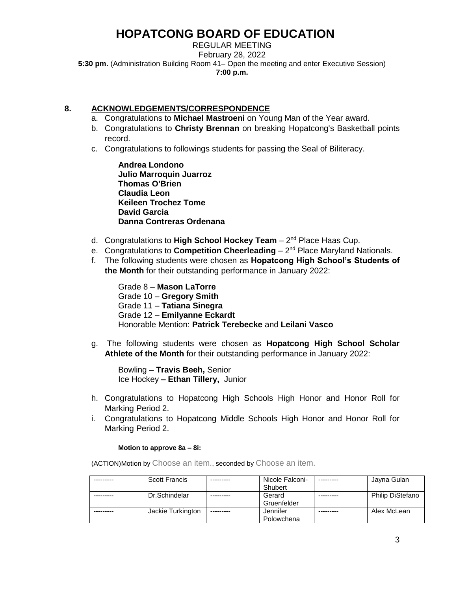REGULAR MEETING February 28, 2022 **5:30 pm.** (Administration Building Room 41– Open the meeting and enter Executive Session) **7:00 p.m.**

## **8. ACKNOWLEDGEMENTS/CORRESPONDENCE**

- a. Congratulations to **Michael Mastroeni** on Young Man of the Year award.
- b. Congratulations to **Christy Brennan** on breaking Hopatcong's Basketball points record.
- c. Congratulations to followings students for passing the Seal of Biliteracy.

**Andrea Londono Julio Marroquin Juarroz Thomas O'Brien Claudia Leon Keileen Trochez Tome David Garcia Danna Contreras Ordenana**

- d. Congratulations to High School Hockey Team 2<sup>nd</sup> Place Haas Cup.
- e. Congratulations to **Competition Cheerleading** 2<sup>nd</sup> Place Maryland Nationals.
- f. The following students were chosen as **Hopatcong High School's Students of the Month** for their outstanding performance in January 2022:

Grade 8 – **Mason LaTorre** Grade 10 – **Gregory Smith** Grade 11 – **Tatiana Sinegra** Grade 12 – **Emilyanne Eckardt** Honorable Mention: **Patrick Terebecke** and **Leilani Vasco**

g. The following students were chosen as **Hopatcong High School Scholar Athlete of the Month** for their outstanding performance in January 2022:

Bowling **– Travis Beeh,** Senior Ice Hockey **– Ethan Tillery,** Junior

- h. Congratulations to Hopatcong High Schools High Honor and Honor Roll for Marking Period 2.
- i. Congratulations to Hopatcong Middle Schools High Honor and Honor Roll for Marking Period 2.

#### **Motion to approve 8a – 8i:**

| <b>Scott Francis</b> |            | Nicole Falconi- | Jayna Gulan             |
|----------------------|------------|-----------------|-------------------------|
|                      |            | Shubert         |                         |
| Dr.Schindelar        |            | Gerard          | <b>Philip DiStefano</b> |
|                      |            | Gruenfelder     |                         |
| Jackie Turkington    | ---------- | Jennifer        | Alex McLean             |
|                      |            | Polowchena      |                         |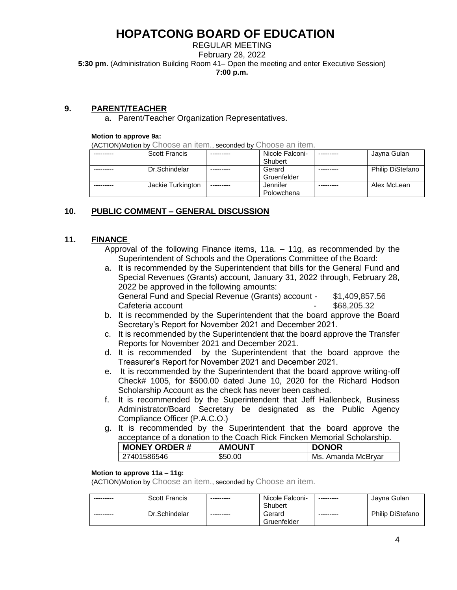REGULAR MEETING February 28, 2022 **5:30 pm.** (Administration Building Room 41– Open the meeting and enter Executive Session) **7:00 p.m.**

## **9. PARENT/TEACHER**

a. Parent/Teacher Organization Representatives.

#### **Motion to approve 9a:**

(ACTION)Motion by Choose an item., seconded by Choose an item.

| <b>Scott Francis</b> |            | Nicole Falconi- | Jayna Gulan             |
|----------------------|------------|-----------------|-------------------------|
|                      |            | Shubert         |                         |
| Dr.Schindelar        |            | Gerard          | <b>Philip DiStefano</b> |
|                      |            | Gruenfelder     |                         |
| Jackie Turkington    | ---------- | Jennifer        | Alex McLean             |
|                      |            | Polowchena      |                         |

## **10. PUBLIC COMMENT – GENERAL DISCUSSION**

## **11. FINANCE**

Approval of the following Finance items, 11a. – 11g, as recommended by the Superintendent of Schools and the Operations Committee of the Board:

- a. It is recommended by the Superintendent that bills for the General Fund and Special Revenues (Grants) account, January 31, 2022 through, February 28, 2022 be approved in the following amounts: General Fund and Special Revenue (Grants) account - \$1,409,857.56 Cafeteria account Cafeteria account
- b. It is recommended by the Superintendent that the board approve the Board Secretary's Report for November 2021 and December 2021.
- c. It is recommended by the Superintendent that the board approve the Transfer Reports for November 2021 and December 2021.
- d. It is recommended by the Superintendent that the board approve the Treasurer's Report for November 2021 and December 2021.
- e. It is recommended by the Superintendent that the board approve writing-off Check# 1005, for \$500.00 dated June 10, 2020 for the Richard Hodson Scholarship Account as the check has never been cashed.
- f. It is recommended by the Superintendent that Jeff Hallenbeck, Business Administrator/Board Secretary be designated as the Public Agency Compliance Officer (P.A.C.O.)
- g. It is recommended by the Superintendent that the board approve the acceptance of a donation to the Coach Rick Fincken Memorial Scholarship.

| <b>MONEY ORDER#</b> | <b>AMOUNT</b> | <b>DONOR</b>       |
|---------------------|---------------|--------------------|
| 27401586546         | \$50.00       | Ms. Amanda McBrvar |

### **Motion to approve 11a – 11g:**

| --------- | <b>Scott Francis</b> | --------- | Nicole Falconi- | --------- | Javna Gulan             |
|-----------|----------------------|-----------|-----------------|-----------|-------------------------|
|           |                      |           | Shubert         |           |                         |
| --------- | Dr.Schindelar        | --------- | Gerard          | --------- | <b>Philip DiStefano</b> |
|           |                      |           | Gruenfelder     |           |                         |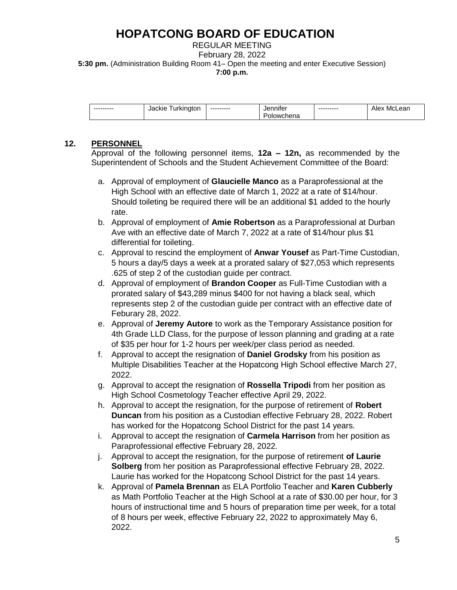REGULAR MEETING February 28, 2022 **5:30 pm.** (Administration Building Room 41– Open the meeting and enter Executive Session) **7:00 p.m.**

| --------- | Turkington<br>Jackie | --------- | Jennifei        | --------- | Ale⊼<br>∵McLean |
|-----------|----------------------|-----------|-----------------|-----------|-----------------|
|           |                      |           | owchena<br>. HO |           |                 |

# **12. PERSONNEL**

Approval of the following personnel items, **12a – 12n,** as recommended by the Superintendent of Schools and the Student Achievement Committee of the Board:

- a. Approval of employment of **Glaucielle Manco** as a Paraprofessional at the High School with an effective date of March 1, 2022 at a rate of \$14/hour. Should toileting be required there will be an additional \$1 added to the hourly rate.
- b. Approval of employment of **Amie Robertson** as a Paraprofessional at Durban Ave with an effective date of March 7, 2022 at a rate of \$14/hour plus \$1 differential for toileting.
- c. Approval to rescind the employment of **Anwar Yousef** as Part-Time Custodian, 5 hours a day/5 days a week at a prorated salary of \$27,053 which represents .625 of step 2 of the custodian guide per contract.
- d. Approval of employment of **Brandon Cooper** as Full-Time Custodian with a prorated salary of \$43,289 minus \$400 for not having a black seal, which represents step 2 of the custodian guide per contract with an effective date of Feburary 28, 2022.
- e. Approval of **Jeremy Autore** to work as the Temporary Assistance position for 4th Grade LLD Class, for the purpose of lesson planning and grading at a rate of \$35 per hour for 1-2 hours per week/per class period as needed.
- f. Approval to accept the resignation of **Daniel Grodsky** from his position as Multiple Disabilities Teacher at the Hopatcong High School effective March 27, 2022.
- g. Approval to accept the resignation of **Rossella Tripodi** from her position as High School Cosmetology Teacher effective April 29, 2022.
- h. Approval to accept the resignation, for the purpose of retirement of **Robert Duncan** from his position as a Custodian effective February 28, 2022. Robert has worked for the Hopatcong School District for the past 14 years.
- i. Approval to accept the resignation of **Carmela Harrison** from her position as Paraprofessional effective February 28, 2022.
- j. Approval to accept the resignation, for the purpose of retirement **of Laurie Solberg** from her position as Paraprofessional effective February 28, 2022. Laurie has worked for the Hopatcong School District for the past 14 years.
- k. Approval of **Pamela Brennan** as ELA Portfolio Teacher and **Karen Cubberly** as Math Portfolio Teacher at the High School at a rate of \$30.00 per hour, for 3 hours of instructional time and 5 hours of preparation time per week, for a total of 8 hours per week, effective February 22, 2022 to approximately May 6, 2022.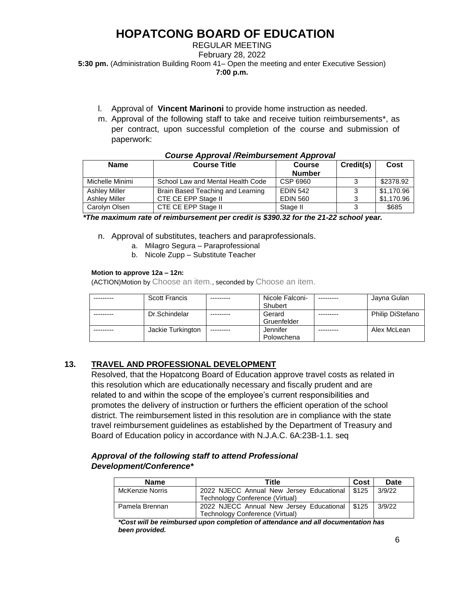### REGULAR MEETING February 28, 2022 **5:30 pm.** (Administration Building Room 41– Open the meeting and enter Executive Session) **7:00 p.m.**

- l. Approval of **Vincent Marinoni** to provide home instruction as needed.
- m. Approval of the following staff to take and receive tuition reimbursements\*, as per contract, upon successful completion of the course and submission of paperwork:

| <b>Name</b>                                  | <b>Course Title</b>                                      | <b>Course</b><br><b>Number</b>     | Credit(s) | Cost                     |  |  |  |  |
|----------------------------------------------|----------------------------------------------------------|------------------------------------|-----------|--------------------------|--|--|--|--|
| Michelle Minimi                              | School Law and Mental Health Code                        | CSP 6960                           | 3         | \$2378.92                |  |  |  |  |
| <b>Ashley Miller</b><br><b>Ashley Miller</b> | Brain Based Teaching and Learning<br>CTE CE EPP Stage II | <b>EDIN 542</b><br><b>EDIN 560</b> | 3<br>3    | \$1,170.96<br>\$1,170.96 |  |  |  |  |
| Carolyn Olsen                                | CTE CE EPP Stage II                                      | Stage II                           | 3         | \$685                    |  |  |  |  |

#### *Course Approval /Reimbursement Approval*

 *\*The maximum rate of reimbursement per credit is \$390.32 for the 21-22 school year.*

- n. Approval of substitutes, teachers and paraprofessionals.
	- a. Milagro Segura Paraprofessional
	- b. Nicole Zupp Substitute Teacher

#### **Motion to approve 12a – 12n:**

(ACTION)Motion by Choose an item., seconded by Choose an item.

| <b>Scott Francis</b> |            | Nicole Falconi- | Jayna Gulan             |
|----------------------|------------|-----------------|-------------------------|
|                      |            | Shubert         |                         |
| Dr.Schindelar        |            | Gerard          | <b>Philip DiStefano</b> |
|                      |            | Gruenfelder     |                         |
| Jackie Turkington    | ---------- | Jennifer        | Alex McLean             |
|                      |            | Polowchena      |                         |

## **13. TRAVEL AND PROFESSIONAL DEVELOPMENT**

Resolved, that the Hopatcong Board of Education approve travel costs as related in this resolution which are educationally necessary and fiscally prudent and are related to and within the scope of the employee's current responsibilities and promotes the delivery of instruction or furthers the efficient operation of the school district. The reimbursement listed in this resolution are in compliance with the state travel reimbursement guidelines as established by the Department of Treasury and Board of Education policy in accordance with N.J.A.C. 6A:23B-1.1. seq

## *Approval of the following staff to attend Professional Development/Conference\**

| <b>Name</b>            | Title                                            | Cost | Date   |
|------------------------|--------------------------------------------------|------|--------|
| <b>McKenzie Norris</b> | 2022 NJECC Annual New Jersey Educational   \$125 |      | 3/9/22 |
|                        | Technology Conference (Virtual)                  |      |        |
| Pamela Brennan         | 2022 NJECC Annual New Jersey Educational   \$125 |      | 3/9/22 |
|                        | Technology Conference (Virtual)                  |      |        |

*\*Cost will be reimbursed upon completion of attendance and all documentation has been provided.*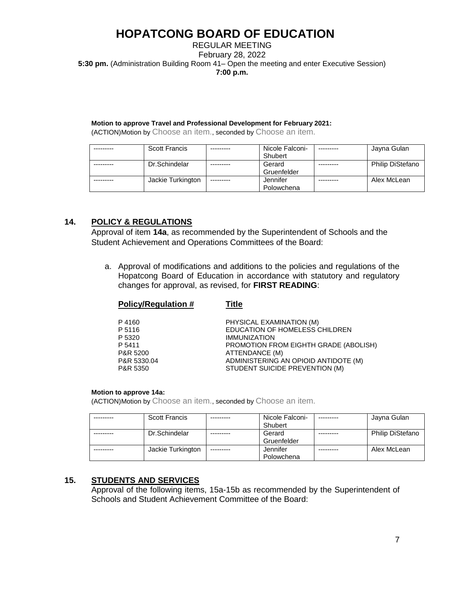REGULAR MEETING February 28, 2022 **5:30 pm.** (Administration Building Room 41– Open the meeting and enter Executive Session) **7:00 p.m.**

#### **Motion to approve Travel and Professional Development for February 2021:**

(ACTION)Motion by Choose an item., seconded by Choose an item.

| Scott Francis     |           | Nicole Falconi- | Jayna Gulan             |
|-------------------|-----------|-----------------|-------------------------|
|                   |           | Shubert         |                         |
| Dr.Schindelar     |           | Gerard          | <b>Philip DiStefano</b> |
|                   |           | Gruenfelder     |                         |
| Jackie Turkington | --------- | Jennifer        | Alex McLean             |
|                   |           | Polowchena      |                         |

# **14. POLICY & REGULATIONS**

Approval of item **14a**, as recommended by the Superintendent of Schools and the Student Achievement and Operations Committees of the Board:

a. Approval of modifications and additions to the policies and regulations of the Hopatcong Board of Education in accordance with statutory and regulatory changes for approval, as revised, for **FIRST READING**:

| POIICV/Requiation $\bm{\#}$                                    | пие                                                                                                                                                                                         |
|----------------------------------------------------------------|---------------------------------------------------------------------------------------------------------------------------------------------------------------------------------------------|
| P4160<br>P 5116<br>P 5320<br>P 5411<br>P&R 5200<br>P&R 5330.04 | PHYSICAL EXAMINATION (M)<br>EDUCATION OF HOMELESS CHILDREN<br><b>IMMUNIZATION</b><br><b>PROMOTION FROM EIGHTH GRADE (ABOLISH)</b><br>ATTENDANCE (M)<br>ADMINISTERING AN OPIOID ANTIDOTE (M) |
| P&R 5350                                                       | STUDENT SUICIDE PREVENTION (M)                                                                                                                                                              |
|                                                                |                                                                                                                                                                                             |

#### **Motion to approve 14a:**

(ACTION)Motion by Choose an item., seconded by Choose an item.

**Policy/Regulation # Title**

| <b>Scott Francis</b> |            | Nicole Falconi- | Jayna Gulan             |
|----------------------|------------|-----------------|-------------------------|
|                      |            | Shubert         |                         |
| Dr.Schindelar        |            | Gerard          | <b>Philip DiStefano</b> |
|                      |            | Gruenfelder     |                         |
| Jackie Turkington    | ---------- | Jennifer        | Alex McLean             |
|                      |            | Polowchena      |                         |

## **15. STUDENTS AND SERVICES**

Approval of the following items, 15a-15b as recommended by the Superintendent of Schools and Student Achievement Committee of the Board: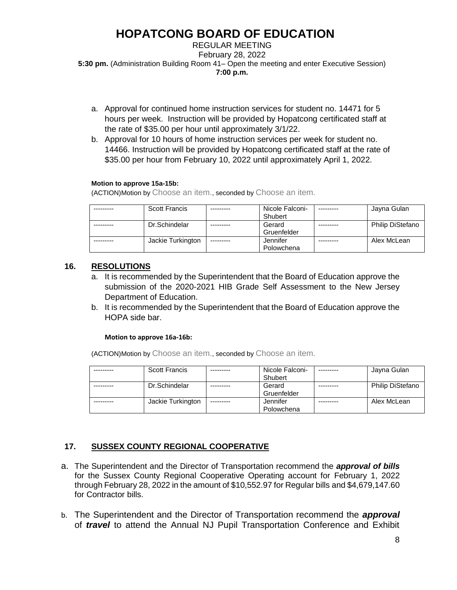REGULAR MEETING February 28, 2022 **5:30 pm.** (Administration Building Room 41– Open the meeting and enter Executive Session) **7:00 p.m.**

- a. Approval for continued home instruction services for student no. 14471 for 5 hours per week. Instruction will be provided by Hopatcong certificated staff at the rate of \$35.00 per hour until approximately 3/1/22.
- b. Approval for 10 hours of home instruction services per week for student no. 14466. Instruction will be provided by Hopatcong certificated staff at the rate of \$35.00 per hour from February 10, 2022 until approximately April 1, 2022.

### **Motion to approve 15a-15b:**

(ACTION)Motion by Choose an item., seconded by Choose an item.

| <b>Scott Francis</b> |            | Nicole Falconi- | Jayna Gulan             |
|----------------------|------------|-----------------|-------------------------|
|                      |            | Shubert         |                         |
| Dr.Schindelar        |            | Gerard          | <b>Philip DiStefano</b> |
|                      |            | Gruenfelder     |                         |
| Jackie Turkington    | ---------- | Jennifer        | Alex McLean             |
|                      |            | Polowchena      |                         |

# **16. RESOLUTIONS**

- a. It is recommended by the Superintendent that the Board of Education approve the submission of the 2020-2021 HIB Grade Self Assessment to the New Jersey Department of Education.
- b. It is recommended by the Superintendent that the Board of Education approve the HOPA side bar.

#### **Motion to approve 16a-16b:**

(ACTION)Motion by Choose an item., seconded by Choose an item.

| <b>Scott Francis</b> |            | Nicole Falconi- | Jayna Gulan             |
|----------------------|------------|-----------------|-------------------------|
|                      |            | Shubert         |                         |
| Dr.Schindelar        |            | Gerard          | <b>Philip DiStefano</b> |
|                      |            | Gruenfelder     |                         |
| Jackie Turkington    | ---------- | Jennifer        | Alex McLean             |
|                      |            | Polowchena      |                         |

# **17. SUSSEX COUNTY REGIONAL COOPERATIVE**

- a. The Superintendent and the Director of Transportation recommend the *approval of bills* for the Sussex County Regional Cooperative Operating account for February 1, 2022 through February 28, 2022 in the amount of \$10,552.97 for Regular bills and \$4,679,147.60 for Contractor bills.
- b. The Superintendent and the Director of Transportation recommend the *approval* of *travel* to attend the Annual NJ Pupil Transportation Conference and Exhibit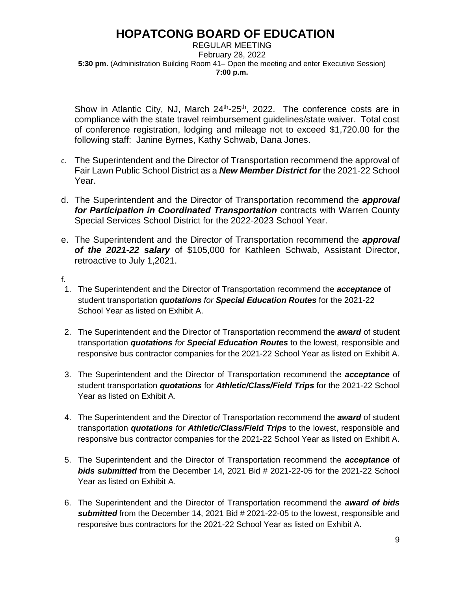REGULAR MEETING February 28, 2022 **5:30 pm.** (Administration Building Room 41– Open the meeting and enter Executive Session) **7:00 p.m.**

Show in Atlantic City, NJ, March  $24<sup>th</sup>$ -25<sup>th</sup>, 2022. The conference costs are in compliance with the state travel reimbursement guidelines/state waiver. Total cost of conference registration, lodging and mileage not to exceed \$1,720.00 for the following staff: Janine Byrnes, Kathy Schwab, Dana Jones.

- c. The Superintendent and the Director of Transportation recommend the approval of Fair Lawn Public School District as a *New Member District for* the 2021-22 School Year.
- d. The Superintendent and the Director of Transportation recommend the *approval for Participation in Coordinated Transportation* contracts with Warren County Special Services School District for the 2022-2023 School Year.
- e. The Superintendent and the Director of Transportation recommend the *approval of the 2021-22 salary* of \$105,000 for Kathleen Schwab, Assistant Director, retroactive to July 1,2021.
- f.
- 1. The Superintendent and the Director of Transportation recommend the *acceptance* of student transportation *quotations for Special Education Routes* for the 2021-22 School Year as listed on Exhibit A.
- 2. The Superintendent and the Director of Transportation recommend the *award* of student transportation *quotations for Special Education Routes* to the lowest, responsible and responsive bus contractor companies for the 2021-22 School Year as listed on Exhibit A.
- 3. The Superintendent and the Director of Transportation recommend the *acceptance* of student transportation *quotations* for *Athletic/Class/Field Trips* for the 2021-22 School Year as listed on Exhibit A.
- 4. The Superintendent and the Director of Transportation recommend the *award* of student transportation *quotations for Athletic/Class/Field Trips* to the lowest, responsible and responsive bus contractor companies for the 2021-22 School Year as listed on Exhibit A.
- 5. The Superintendent and the Director of Transportation recommend the *acceptance* of *bids submitted* from the December 14, 2021 Bid # 2021-22-05 for the 2021-22 School Year as listed on Exhibit A.
- 6. The Superintendent and the Director of Transportation recommend the *award of bids submitted* from the December 14, 2021 Bid # 2021-22-05 to the lowest, responsible and responsive bus contractors for the 2021-22 School Year as listed on Exhibit A.